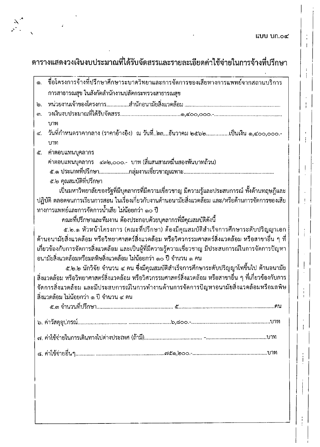แบบ บก.๐๔

 $\frac{1}{4}$  $\overline{1}$ 

 $\begin{array}{c} 1 \\ 1 \end{array}$ 

Ť.

÷

 $\frac{1}{1}$ 

## ตารางแสดงวงเงินงบประมาณที่ได้รับจัดสรรและรายละเอียดค่าใช้จ่ายในการจ้างที่ปรึกษา

| ග.  | ชื่อโครงการจ้างที่ปรึกษาศึกษาระบาดวิทยาและการจัดการของเสียทางการแพทย์จากสถานบริการ                      |
|-----|---------------------------------------------------------------------------------------------------------|
|     | การสาธารณสุข ในสังกัดสำนักงานปลัดกระทรวงสาธารณสุข                                                       |
| ს.  |                                                                                                         |
| តា. |                                                                                                         |
|     | บาท                                                                                                     |
| ፈ.  | วันที่กำหนดราคากลาง (ราคาอ้างอิง)  ณ วันที่๒๓ธันวาคม ๒๕๖๒เป็นเงิน ๑,๔๐๐,๐๐๐.-                           |
|     | บาท                                                                                                     |
| ๕.  | ์ ค่าตอบแทนบุคลากร                                                                                      |
|     | ค่าตอบแทนบุคลากร ๔๓๒,๐๐๐.- บาท (สี่แสนสามหมื่นสองพันบาทถ้วน)                                            |
|     |                                                                                                         |
|     | ๕.๒ คุณสมบัติที่ปรึกษา                                                                                  |
|     | เป็นมหาวิทยาลัยของรัฐที่มีบุคลากรที่มีความเชี่ยวชาญ มีความรู้และประสบการณ์ ทั้งด้านทฤษฎีและ             |
|     | ปฏิบัติ ตลอดจนการเรียนการสอน ในเรื่องเกี่ยวกับงานด้านอนามัยสิ่งแวดล้อม และ/หรือด้านการจัดการของเสีย     |
|     | ทางการแพทย์และการจัดการน้ำเสีย ไม่น้อยกว่า ๑๐ ปี                                                        |
|     | ึคณะที่ปรึกษาและทีมงาน ต้องประกอบด้วยบุคลากรที่มีคุณสมบัติดังนี้                                        |
|     | ๕.๒.๑ หัวหน้าโครงการ (คณะที่ปรึกษา) ต้องมีคุณสมบัติสำเร็จการศึกษาระดับปริญญาเอก                         |
|     | ด้านอนามัยสิ่งแวดล้อม หรือวิทยาศาสตร์สิ่งแวดล้อม หรือวิศวกรรมศาสตร์สิ่งแวดล้อม หรือสาขาอื่น ๆ ที่       |
|     | เกี่ยวข้องกับการจัดการสิ่งแวดล้อม และเป็นผู้ที่มีความรู้ความเชี่ยวชาญ มีประสบการณ์ในการจัดการปัญหา      |
|     | ้อนามัยสิ่งแวดล้อมหรือมลพิษสิ่งแวดล้อม ไม่น้อยกว่า ๑๐ ปี จำนวน ๑ คน                                     |
|     | ๕.๒.๒ นักวิจัย จำนวน ๔ คน ซึ่งมีคุณสมบัติสำเร็จการศึกษาระดับปริญญาโทขึ้นไป ด้านอนามัย                   |
|     | สิ่งแวดล้อม หรือวิทยาศาสตร์สิ่งแวดล้อม หรือวิศวกรรมศาสตร์สิ่งแวดล้อม หรือสาขาอื่น ๆ ที่เกี่ยวข้องกับการ |
|     | จัดการสิ่งแวดล้อม และมีประสบการณ์ในการทำงานด้านการจัดการปัญหาอนามัยสิ่งแวดล้อมหรือมลพิษ                 |
|     | สิ่งแวดล้อม ไม่น้อยกว่า ๑ ปี จำนวน ๔ คน                                                                 |
|     |                                                                                                         |
|     |                                                                                                         |
|     |                                                                                                         |
|     |                                                                                                         |
|     |                                                                                                         |
|     |                                                                                                         |
|     |                                                                                                         |
|     |                                                                                                         |
|     |                                                                                                         |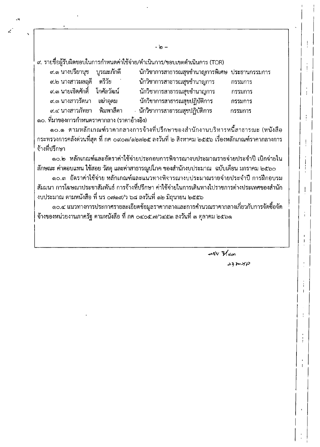่ ๙. รายชื่อผู้รับผิดชอบในการกำหนดค่าใช้จ่าย/ดำเนินการ/ขอบเขตดำเนินการ (TOR)

|                   | ๙.๑ นางปรียานุช    บูรณะภักดี   |           |
|-------------------|---------------------------------|-----------|
| ุ ๙.๒ นางสาวมลฤดี |                                 | ตรีวัย    |
|                   | ๙.๓ นายเชิดศักดิ์    โกศัลวัฒน์ |           |
| ๙.๓ นางสาวรัตนา   |                                 | เฒ่าอุดม  |
| ๙.๔ นางสาวภัทยา   |                                 | พิมพาสีดา |

นักวิชาการสาธารณสุขชำนาญการพิเศษ ประธานกรรมการ นักวิชาการสาธารณสุขชำนาญการ นักวิชาการสาธารณสุขชำนาญการ นักวิชาการสาธารณสุขปฏิบัติการ นักวิชาการสาธารณสุขปฏิบัติการ กรรมการ

๑๐. ที่มาของการกำหนดราคากลาง (ราคาอ้างอิง)

๑๐.๑ ตามหลักเกณฑ์ราคากลางการจ้างที่ปรึกษาของสำนักงานบริหารหนี้สาธารณะ (หนังสือ ึกระทรวงการคลังต่วนที่สุด ที่ กค ๐๙๐๗/๑๒๗๒๕ ลงวันที่ ๒ สิงหาคม ๒๕๕๖ เรื่องหลักเกณฑ์ราคากลางการ จ้างที่ปรึกษา

๑๐.๒ หลักเกณฑ์และอัตราค่าใช้จ่ายประกอบการพิจารณางบประมาณรายจ่ายประจำปี เบิกจ่ายใน ลักษณะ ค่าตอบแทน ใช้สอย วัสดุ และค่าสาธารณูปโภค ของสำนักงบประมาณ ฉบับเดือน มกราคม ๒๕๖๐

๑๐.๓ อัตราค่าใช้จ่าย หลักเกณฑ์และแนวทางพิจารณางบประมาณรายจ่ายประจำปี การฝึกอบรม สัมมนา การโฆษณาประชาสัมพันธ์ การจ้างที่ปรึกษา ค่าใช้จ่ายในการเดินทางไปราชการต่างประเทศของสำนัก งบประมาณ ตามหนังสือ ที่ นร ๐๗๑๙⁄ว ๖๘ ลงวันที่ ๑๒ มิถุนายน ๒๕๕๖

ึด๐.๔ แนวทางการประกาศรายละเอียดข้อมูลราคากลางและการคำนวณราคากลางเกี่ยวกับการจัดชื้อจัด ้จ้างของหน่วยงานภาครัฐ ตามหนังสือ ที่ กค ๐๔๐๕.๗/ว๔๕๓ ลงวันที่ ๓ ตุลาคม ๒๕๖๑

> $\mathscr{B}$  $23205/2$

กรรมการ

กรรมการ

กรรมการ

ł.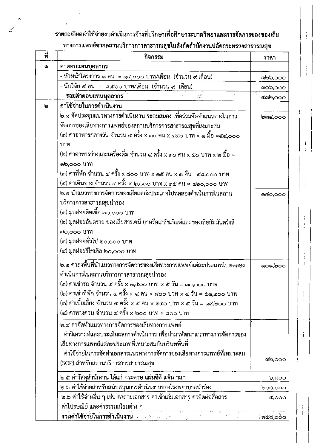## รายละเอียดค่าใช้จ่ายงบดำเนินการจ้างที่ปรึกษาเพื่อศึกษาระบาดวิทยาและการจัดการของของเสีย ทางการแพทย์จากสถานบริการการสาธารณสุชในสังกัดสำนักงานปลัดกระทรวงสาธารณสุช

 $\mathbf{I}$ 

 $\frac{1}{1}$ 

 $\mathbf{I}$  $\frac{1}{1}$ 

j  $\mathbf{I}$ 

 $\frac{1}{1}$ 

 $\mathfrak{f}$ 

 $\overline{1}$ 

 $\mathbf{I}$  $\mathcal{A}$ 

| ที่ | กิจกรรม                                                                    | ราคา                      |
|-----|----------------------------------------------------------------------------|---------------------------|
| 6)  | ค่าตอบแทนบุคลากร                                                           |                           |
|     | - หัวหน้าโครงการ ๑ คน  = ๑๔,๐๐๐ บาท/เดือน  (จำนวน ๙ เดือน)                 | මේ ව, 000                 |
|     | - นักวิจัย ๔ คน  =  ๘,๕๐๐ บาท/เดือน  (จำนวน ๙  เดือน)                      | ၈၀၀,၀၀၀                   |
|     | รวมค่าตอบแทนบูคลากร<br>$\frac{1}{2} \frac{1}{2} \frac{1}{2}$               | $\alpha$ alo, $\alpha$ oo |
| р   | ค่าใช้จ่ายในการดำเนินงาน                                                   |                           |
|     | .<br>๒.๑ จัดประชุมแนวทางการดำเนินงาน ระดมสมอง เพื่อร่วมจัดทำแนวทางในการ    | ong,000                   |
|     | จัดการของเสียทางการแพทย์ของสถานบริการการสาธารณสุขที่เหมาะสม                |                           |
|     | (๑) ค่าอาหารกลางวัน จำนวน ๔ ครั้ง x ๓๐ คน x ๔๕๐ บาท x ๑ มื้อ =๕๔,๐๐๐       |                           |
|     | บาท                                                                        |                           |
|     | (๒) ค่าอาหารว่างและเครื่องดื่ม จำนวน ๔ ครั้ง x ๓๐ คน x ๕๐ บาท x ๒ มื้อ =   |                           |
|     | ໑២,୦୦୦ ህገท                                                                 |                           |
|     | (๓) ค่าที่พัก จำนวน ๔ ครั้ง x ๘๐๐ บาห x ๑๕ คน x ๑ คืน= ๔๘,๐๐๐ บาท          |                           |
|     | (๔) ค่าเดินทาง จำนวน ๔ ครั้ง x ๒,๐๐๐ บาท x ๑๕ คน = ๑๒๐,๐๐๐ บาท             |                           |
|     | ๒.๒ นำแนวทางการจัดการของเสียแต่ล่ะประเภทไปทดลองดำเนินการในสถาน             | ෧෬෮,෮෮෮                   |
|     | บริการการสาธารณสุขนำร่อง                                                   |                           |
|     | (๑) มูลฝอยติดเชื้อ ๗๐,๐๐๐ บาท                                              |                           |
|     | (๒) มูลฝอยอันตราย ของเสียสารเคมี ยาหรือเภสัชภัณฑ์และของเสียกัมมันตรังสี    |                           |
|     | ต่o,ooo บาท                                                                |                           |
|     | (๓) มูลฝอยทั่วไป ๒๐,๐๐๐ บาท                                                |                           |
|     | (๔) มูลฝอยรีไซเคิล ๒๐,๐๐๐ บาท                                              |                           |
|     |                                                                            | ෙ ෙමිට                    |
|     | ดำเนินการในสถานบริการการสาธารณสุขนำร่อง                                    |                           |
|     | (๑) ค่าเช่ารถ จำนวน ๔ ครั้ง x ๑,๕๐๐ บาท x ๕ วัน = ๓๐,๐๐๐ บาท               |                           |
|     | (๒) ค่าเช่าที่พัก จำนวน ๔ ครั้ง x ๔ คน x ๘๐๐ บาท x ๔ วัน = ๕๑,๒๐๐ บาท      |                           |
|     | (๓) ค่าเบี้ยเลี้ยง จำนวน ๔ ครั้ง x ๔ คน x ๒๔๐ บาท x ๕ วัน = ๑๙,๒๐๐ บาท     |                           |
|     | (๔) ค่าทางด่วน จำนวน ๔ ครั้ง x ๒๐๐ บาท = ๘๐๐ บาท                           |                           |
|     | ๒.๔ ค่าจัดทำแนวทางการจัดการของเสียทางการแพทย์                              |                           |
|     | - ค่าวิเคราะห์และประเมินผลการดำเนินการ เพื่อนำมาพัฒนาแนวทางการจัดการของ    |                           |
|     | เสียทางการแพทย์แต่ละประเภทที่เหมาะสมกับบริบทพื้นที่                        |                           |
|     | - ค่าใช้จ่ายในการจัดทำเอกสารแนวทางการจัดการของเสียทางการแพทย์ที่เหมาะสม    |                           |
|     | (SOP) สำหรับสถานบริการการสาธารณสุข                                         | <b>ab,000</b>             |
|     | ๒.๕ ค่าวัสดุสำนักงาน ได้แก่ กระดาษ แผ่นซีดี แฟ้ม ฯลฯ                       | ರಿ,ಡ೦೦                    |
|     | ๒.๖ ค่าใช้จ่ายสำหรับสนับสนุนการดำเนินงานของโรงพยาบาลนำร่อง                 | 000,000                   |
|     | ๒.๖ ค่าใช้จ่ายอื่น ๆ เช่น ค่าถ่ายเอกสาร ค่าเข้าเล่มเอกสาร ค่าติดต่อสื่อสาร | ⊈,೦೦೦                     |
|     | ้ค่าไปรษณีย์ และค่าธรรมเนียมต่าง ๆ                                         |                           |
|     | รวมค่าใช้จ่ายในการดำเนินงาน                                                | ්ෆ්රිය,රාර්               |